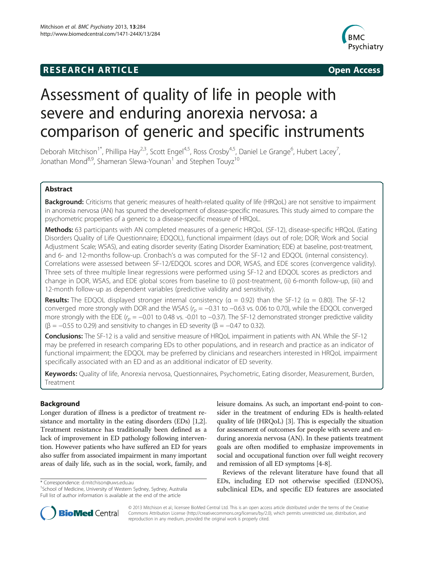# **RESEARCH ARTICLE Example 2014 CONSIDERING CONSIDERING CONSIDERING CONSIDERING CONSIDERING CONSIDERING CONSIDERING CONSIDERING CONSIDERING CONSIDERING CONSIDERING CONSIDERING CONSIDERING CONSIDERING CONSIDERING CONSIDE**



# Assessment of quality of life in people with severe and enduring anorexia nervosa: a comparison of generic and specific instruments

Deborah Mitchison<sup>1\*</sup>, Phillipa Hay<sup>2,3</sup>, Scott Engel<sup>4,5</sup>, Ross Crosby<sup>4,5</sup>, Daniel Le Grange<sup>6</sup>, Hubert Lacey<sup>7</sup> , Jonathan Mond<sup>8,9</sup>, Shameran Slewa-Younan<sup>1</sup> and Stephen Touyz<sup>10</sup>

# Abstract

Background: Criticisms that generic measures of health-related quality of life (HRQoL) are not sensitive to impairment in anorexia nervosa (AN) has spurred the development of disease-specific measures. This study aimed to compare the psychometric properties of a generic to a disease-specific measure of HRQoL.

Methods: 63 participants with AN completed measures of a generic HRQoL (SF-12), disease-specific HRQoL (Eating Disorders Quality of Life Questionnaire; EDQOL), functional impairment (days out of role; DOR; Work and Social Adjustment Scale; WSAS), and eating disorder severity (Eating Disorder Examination; EDE) at baseline, post-treatment, and 6- and 12-months follow-up. Cronbach's α was computed for the SF-12 and EDQOL (internal consistency). Correlations were assessed between SF-12/EDQOL scores and DOR, WSAS, and EDE scores (convergence validity). Three sets of three multiple linear regressions were performed using SF-12 and EDQOL scores as predictors and change in DOR, WSAS, and EDE global scores from baseline to (i) post-treatment, (ii) 6-month follow-up, (iii) and 12-month follow-up as dependent variables (predictive validity and sensitivity).

**Results:** The EDQOL displayed stronger internal consistency ( $\alpha = 0.92$ ) than the SF-12 ( $\alpha = 0.80$ ). The SF-12 converged more strongly with DOR and the WSAS ( $r_p = -0.31$  to  $-0.63$  vs. 0.06 to 0.70), while the EDQOL converged more strongly with the EDE ( $r_p = -0.01$  to 0.48 vs. -0.01 to  $-0.37$ ). The SF-12 demonstrated stronger predictive validity ( $\beta$  = −0.55 to 0.29) and sensitivity to changes in ED severity ( $\beta$  = −0.47 to 0.32).

Conclusions: The SF-12 is a valid and sensitive measure of HRQoL impairment in patients with AN. While the SF-12 may be preferred in research comparing EDs to other populations, and in research and practice as an indicator of functional impairment; the EDQOL may be preferred by clinicians and researchers interested in HRQoL impairment specifically associated with an ED and as an additional indicator of ED severity.

Keywords: Quality of life, Anorexia nervosa, Questionnaires, Psychometric, Eating disorder, Measurement, Burden, Treatment

# Background

Longer duration of illness is a predictor of treatment resistance and mortality in the eating disorders (EDs) [[1](#page-7-0),[2](#page-7-0)]. Treatment resistance has traditionally been defined as a lack of improvement in ED pathology following intervention. However patients who have suffered an ED for years also suffer from associated impairment in many important areas of daily life, such as in the social, work, family, and

\* Correspondence: [d.mitchison@uws.edu.au](mailto:d.mitchison@uws.edu.au) <sup>1</sup>

<sup>1</sup>School of Medicine, University of Western Sydney, Sydney, Australia Full list of author information is available at the end of the article

leisure domains. As such, an important end-point to consider in the treatment of enduring EDs is health-related quality of life (HRQoL) [\[3](#page-7-0)]. This is especially the situation for assessment of outcomes for people with severe and enduring anorexia nervosa (AN). In these patients treatment goals are often modified to emphasize improvements in social and occupational function over full weight recovery and remission of all ED symptoms [[4-](#page-7-0)[8\]](#page-8-0).

Reviews of the relevant literature have found that all EDs, including ED not otherwise specified (EDNOS), subclinical EDs, and specific ED features are associated



© 2013 Mitchison et al.; licensee BioMed Central Ltd. This is an open access article distributed under the terms of the Creative Commons Attribution License [\(http://creativecommons.org/licenses/by/2.0\)](http://creativecommons.org/licenses/by/2.0), which permits unrestricted use, distribution, and reproduction in any medium, provided the original work is properly cited.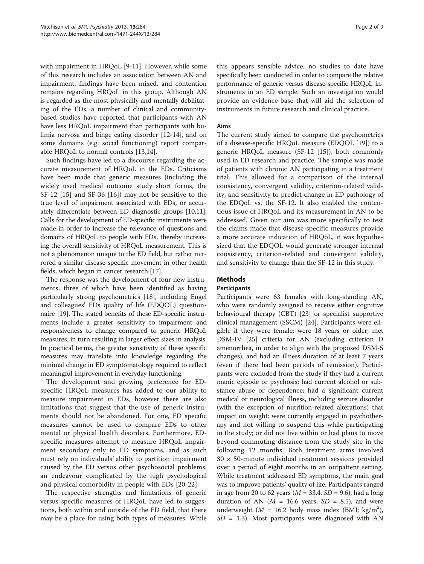with impairment in HRQoL [\[9-11](#page-8-0)]. However, while some of this research includes an association between AN and impairment, findings have been mixed, and contention remains regarding HRQoL in this group. Although AN is regarded as the most physically and mentally debilitating of the EDs, a number of clinical and communitybased studies have reported that participants with AN have less HRQoL impairment than participants with bulimia nervosa and binge eating disorder [\[12-14](#page-8-0)], and on some domains (e.g. social functioning) report comparable HRQoL to normal controls [[13,14\]](#page-8-0).

Such findings have led to a discourse regarding the accurate measurement of HRQoL in the EDs. Criticisms have been made that generic measures (including the widely used medical outcome study short forms, the SF-12 [[15\]](#page-8-0) and SF-36 [\[16](#page-8-0)]) may not be sensitive to the true level of impairment associated with EDs, or accurately differentiate between ED diagnostic groups [\[10,11](#page-8-0)]. Calls for the development of ED-specific instruments were made in order to increase the relevance of questions and domains of HRQoL to people with EDs, thereby increasing the overall sensitivity of HRQoL measurement. This is not a phenomenon unique to the ED field, but rather mirrored a similar disease-specific movement in other health fields, which began in cancer research [[17](#page-8-0)].

The response was the development of four new instruments, three of which have been identified as having particularly strong psychometrics [[18\]](#page-8-0), including Engel and colleagues' EDs quality of life (EDQOL) questionnaire [[19](#page-8-0)]. The stated benefits of these ED-specific instruments include a greater sensitivity to impairment and responsiveness to change compared to generic HRQoL measures, in turn resulting in larger effect sizes in analysis. In practical terms, the greater sensitivity of these specific measures may translate into knowledge regarding the minimal change in ED symptomatology required to reflect meaningful improvement in everyday functioning.

The development and growing preference for EDspecific HRQoL measures has added to our ability to measure impairment in EDs, however there are also limitations that suggest that the use of generic instruments should not be abandoned. For one, ED specific measures cannot be used to compare EDs to other mental or physical health disorders. Furthermore, EDspecific measures attempt to measure HRQoL impairment secondary only to ED symptoms, and as such must rely on individuals' ability to partition impairment caused by the ED versus other psychosocial problems; an endeavour complicated by the high psychological and physical comorbidity in people with EDs [\[20](#page-8-0)-[22\]](#page-8-0).

The respective strengths and limitations of generic versus specific measures of HRQoL have led to suggestions, both within and outside of the ED field, that there may be a place for using both types of measures. While

this appears sensible advice, no studies to date have specifically been conducted in order to compare the relative performance of generic versus disease-specific HRQoL instruments in an ED sample. Such an investigation would provide an evidence-base that will aid the selection of instruments in future research and clinical practice.

## Aims

The current study aimed to compare the psychometrics of a disease-specific HRQoL measure (EDQOL [[19\]](#page-8-0)) to a generic HRQoL measure (SF-12 [[15\]](#page-8-0)), both commonly used in ED research and practice. The sample was made of patients with chronic AN participating in a treatment trial. This allowed for a comparison of the internal consistency, convergent validity, criterion-related validity, and sensitivity to predict change in ED pathology of the EDQoL vs. the SF-12. It also enabled the contentious issue of HRQoL and its measurement in AN to be addressed. Given our aim was more specifically to test the claims made that disease-specific measures provide a more accurate indication of HRQoL, it was hypothesized that the EDQOL would generate stronger internal consistency, criterion-related and convergent validity, and sensitivity to change than the SF-12 in this study.

# Methods

# Participants

Participants were 63 females with long-standing AN, who were randomly assigned to receive either cognitive behavioural therapy (CBT) [\[23\]](#page-8-0) or specialist supportive clinical management (SSCM) [\[24\]](#page-8-0). Participants were eligible if they were female; were 18 years or older; met DSM-IV [[25\]](#page-8-0) criteria for AN (excluding criterion D amenorrhea, in order to align with the proposed DSM-5 changes); and had an illness duration of at least 7 years (even if there had been periods of remission). Participants were excluded from the study if they had a current manic episode or psychosis; had current alcohol or substance abuse or dependence; had a significant current medical or neurological illness, including seizure disorder (with the exception of nutrition-related alterations) that impact on weight; were currently engaged in psychotherapy and not willing to suspend this while participating in the study; or did not live within or had plans to move beyond commuting distance from the study site in the following 12 months. Both treatment arms involved  $30 \times 50$ -minute individual treatment sessions provided over a period of eight months in an outpatient setting. While treatment addressed ED symptoms, the main goal was to improve patients' quality of life. Participants ranged in age from 20 to 62 years ( $M = 33.4$ ,  $SD = 9.6$ ), had a long duration of AN ( $M = 16.6$  years,  $SD = 8.5$ ), and were underweight ( $M = 16.2$  body mass index (BMI; kg/m<sup>2</sup>),  $SD = 1.3$ ). Most participants were diagnosed with AN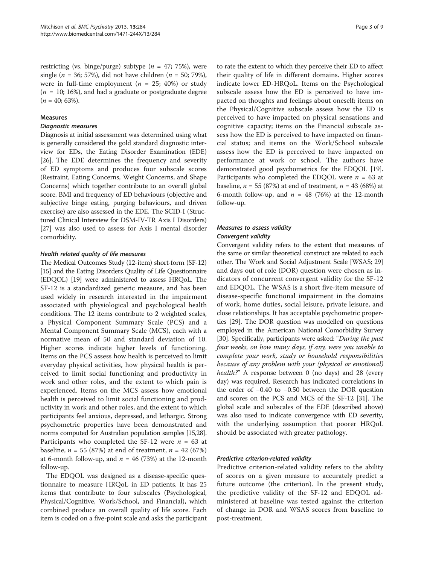restricting (vs. binge/purge) subtype ( $n = 47$ ; 75%), were single (*n* = 36; 57%), did not have children (*n* = 50; 79%), were in full-time employment ( $n = 25$ ; 40%) or study  $(n = 10; 16%)$ , and had a graduate or postgraduate degree  $(n = 40; 63\%).$ 

# Measures

#### Diagnostic measures

Diagnosis at initial assessment was determined using what is generally considered the gold standard diagnostic interview for EDs, the Eating Disorder Examination (EDE) [[26](#page-8-0)]. The EDE determines the frequency and severity of ED symptoms and produces four subscale scores (Restraint, Eating Concerns, Weight Concerns, and Shape Concerns) which together contribute to an overall global score. BMI and frequency of ED behaviours (objective and subjective binge eating, purging behaviours, and driven exercise) are also assessed in the EDE. The SCID-I (Structured Clinical Interview for DSM-IV-TR Axis I Disorders) [[27](#page-8-0)] was also used to assess for Axis I mental disorder comorbidity.

#### Health related quality of life measures

The Medical Outcomes Study (12-item) short-form (SF-12) [[15](#page-8-0)] and the Eating Disorders Quality of Life Questionnaire (EDQOL) [[19](#page-8-0)] were administered to assess HRQoL. The SF-12 is a standardized generic measure, and has been used widely in research interested in the impairment associated with physiological and psychological health conditions. The 12 items contribute to 2 weighted scales, a Physical Component Summary Scale (PCS) and a Mental Component Summary Scale (MCS), each with a normative mean of 50 and standard deviation of 10. Higher scores indicate higher levels of functioning. Items on the PCS assess how health is perceived to limit everyday physical activities, how physical health is perceived to limit social functioning and productivity in work and other roles, and the extent to which pain is experienced. Items on the MCS assess how emotional health is perceived to limit social functioning and productivity in work and other roles, and the extent to which participants feel anxious, depressed, and lethargic. Strong psychometric properties have been demonstrated and norms computed for Australian population samples [[15,28](#page-8-0)]. Participants who completed the SF-12 were  $n = 63$  at baseline,  $n = 55 (87%)$  at end of treatment,  $n = 42 (67%)$ at 6-month follow-up, and  $n = 46$  (73%) at the 12-month follow-up.

The EDQOL was designed as a disease-specific questionnaire to measure HRQoL in ED patients. It has 25 items that contribute to four subscales (Psychological, Physical/Cognitive, Work/School, and Financial), which combined produce an overall quality of life score. Each item is coded on a five-point scale and asks the participant

to rate the extent to which they perceive their ED to affect their quality of life in different domains. Higher scores indicate lower ED-HRQoL. Items on the Psychological subscale assess how the ED is perceived to have impacted on thoughts and feelings about oneself; items on the Physical/Cognitive subscale assess how the ED is perceived to have impacted on physical sensations and cognitive capacity; items on the Financial subscale assess how the ED is perceived to have impacted on financial status; and items on the Work/School subscale assess how the ED is perceived to have impacted on performance at work or school. The authors have demonstrated good psychometrics for the EDQOL [[19](#page-8-0)]. Participants who completed the EDQOL were  $n = 63$  at baseline,  $n = 55 (87%)$  at end of treatment,  $n = 43 (68%)$  at 6-month follow-up, and  $n = 48$  (76%) at the 12-month follow-up.

# Measures to assess validity Convergent validity

Convergent validity refers to the extent that measures of the same or similar theoretical construct are related to each other. The Work and Social Adjustment Scale [WSAS; 29] and days out of role (DOR) question were chosen as indicators of concurrent convergent validity for the SF-12 and EDQOL. The WSAS is a short five-item measure of disease-specific functional impairment in the domains of work, home duties, social leisure, private leisure, and close relationships. It has acceptable psychometric properties [\[29\]](#page-8-0). The DOR question was modelled on questions employed in the American National Comorbidity Survey [[30](#page-8-0)]. Specifically, participants were asked: "During the past four weeks, on how many days, if any, were you unable to complete your work, study or household responsibilities because of any problem with your (physical or emotional) health?" A response between 0 (no days) and 28 (every day) was required. Research has indicated correlations in the order of −0.40 to −0.50 between the DOR question and scores on the PCS and MCS of the SF-12 [\[31\]](#page-8-0). The global scale and subscales of the EDE (described above) was also used to indicate convergence with ED severity, with the underlying assumption that poorer HRQoL should be associated with greater pathology.

#### Predictive criterion-related validity

Predictive criterion-related validity refers to the ability of scores on a given measure to accurately predict a future outcome (the criterion). In the present study, the predictive validity of the SF-12 and EDQOL administered at baseline was tested against the criterion of change in DOR and WSAS scores from baseline to post-treatment.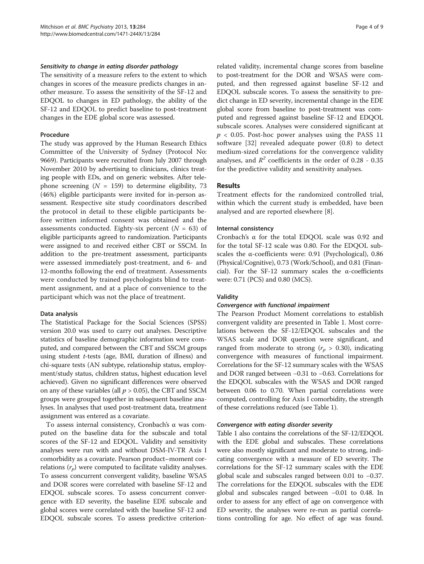#### Sensitivity to change in eating disorder pathology

The sensitivity of a measure refers to the extent to which changes in scores of the measure predicts changes in another measure. To assess the sensitivity of the SF-12 and EDQOL to changes in ED pathology, the ability of the SF-12 and EDQOL to predict baseline to post-treatment changes in the EDE global score was assessed.

#### Procedure

The study was approved by the Human Research Ethics Committee of the University of Sydney (Protocol No: 9669). Participants were recruited from July 2007 through November 2010 by advertising to clinicians, clinics treating people with EDs, and on generic websites. After telephone screening  $(N = 159)$  to determine eligibility, 73 (46%) eligible participants were invited for in-person assessment. Respective site study coordinators described the protocol in detail to these eligible participants before written informed consent was obtained and the assessments conducted. Eighty-six percent  $(N = 63)$  of eligible participants agreed to randomization. Participants were assigned to and received either CBT or SSCM. In addition to the pre-treatment assessment, participants were assessed immediately post-treatment, and 6- and 12-months following the end of treatment. Assessments were conducted by trained psychologists blind to treatment assignment, and at a place of convenience to the participant which was not the place of treatment.

#### Data analysis

The Statistical Package for the Social Sciences (SPSS) version 20.0 was used to carry out analyses. Descriptive statistics of baseline demographic information were computed, and compared between the CBT and SSCM groups using student t-tests (age, BMI, duration of illness) and chi-square tests (AN subtype, relationship status, employment/study status, children status, highest education level achieved). Given no significant differences were observed on any of these variables (all  $p > 0.05$ ), the CBT and SSCM groups were grouped together in subsequent baseline analyses. In analyses that used post-treatment data, treatment assignment was entered as a covariate.

To assess internal consistency, Cronbach's α was computed on the baseline data for the subscale and total scores of the SF-12 and EDQOL. Validity and sensitivity analyses were run with and without DSM-IV-TR Axis I comorbidity as a covariate. Pearson product–moment correlations  $(r_p)$  were computed to facilitate validity analyses. To assess concurrent convergent validity, baseline WSAS and DOR scores were correlated with baseline SF-12 and EDQOL subscale scores. To assess concurrent convergence with ED severity, the baseline EDE subscale and global scores were correlated with the baseline SF-12 and EDQOL subscale scores. To assess predictive criterion-

related validity, incremental change scores from baseline to post-treatment for the DOR and WSAS were computed, and then regressed against baseline SF-12 and EDQOL subscale scores. To assess the sensitivity to predict change in ED severity, incremental change in the EDE global score from baseline to post-treatment was computed and regressed against baseline SF-12 and EDQOL subscale scores. Analyses were considered significant at  $p < 0.05$ . Post-hoc power analyses using the PASS 11 software [[32\]](#page-8-0) revealed adequate power (0.8) to detect medium-sized correlations for the convergence validity analyses, and  $R^2$  coefficients in the order of 0.28 - 0.35 for the predictive validity and sensitivity analyses.

#### Results

Treatment effects for the randomized controlled trial, within which the current study is embedded, have been analysed and are reported elsewhere [\[8](#page-8-0)].

#### Internal consistency

Cronbach's α for the total EDQOL scale was 0.92 and for the total SF-12 scale was 0.80. For the EDQOL subscales the α-coefficients were: 0.91 (Psychological), 0.86 (Physical/Cognitive), 0.73 (Work/School), and 0.81 (Financial). For the SF-12 summary scales the α-coefficients were: 0.71 (PCS) and 0.80 (MCS).

#### Validity

#### Convergence with functional impairment

The Pearson Product Moment correlations to establish convergent validity are presented in Table [1](#page-4-0). Most correlations between the SF-12/EDQOL subscales and the WSAS scale and DOR question were significant, and ranged from moderate to strong ( $r_p > 0.30$ ), indicating convergence with measures of functional impairment. Correlations for the SF-12 summary scales with the WSAS and DOR ranged between −0.31 to −0.63. Correlations for the EDQOL subscales with the WSAS and DOR ranged between 0.06 to 0.70. When partial correlations were computed, controlling for Axis I comorbidity, the strength of these correlations reduced (see Table [1\)](#page-4-0).

#### Convergence with eating disorder severity

Table [1](#page-4-0) also contains the correlations of the SF-12/EDQOL with the EDE global and subscales. These correlations were also mostly significant and moderate to strong, indicating convergence with a measure of ED severity. The correlations for the SF-12 summary scales with the EDE global scale and subscales ranged between 0.01 to −0.37. The correlations for the EDQOL subscales with the EDE global and subscales ranged between −0.01 to 0.48. In order to assess for any effect of age on convergence with ED severity, the analyses were re-run as partial correlations controlling for age. No effect of age was found.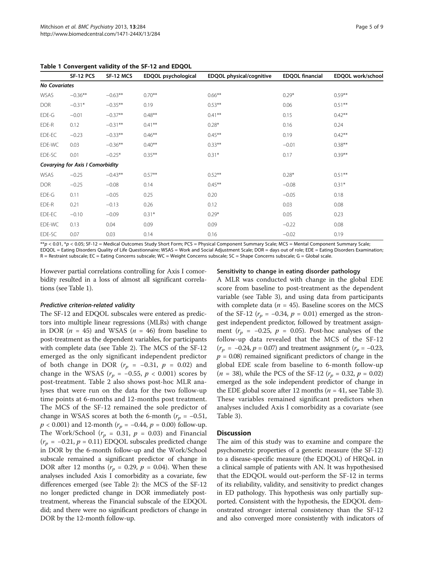|                      | SF-12 PCS                               | . Convergent rundry or the<br>SF-12 MCS | EDQOL psychological | <b>EDQOL</b> physical/cognitive | <b>EDQOL financial</b> | EDQOL work/school |
|----------------------|-----------------------------------------|-----------------------------------------|---------------------|---------------------------------|------------------------|-------------------|
|                      |                                         |                                         |                     |                                 |                        |                   |
| <b>No Covariates</b> |                                         |                                         |                     |                                 |                        |                   |
| WSAS                 | $-0.36**$                               | $-0.63**$                               | $0.70***$           | $0.66***$                       | $0.29*$                | $0.59***$         |
| <b>DOR</b>           | $-0.31*$                                | $-0.35***$                              | 0.19                | $0.53***$                       | 0.06                   | $0.51***$         |
| EDE-G                | $-0.01$                                 | $-0.37**$                               | $0.48***$           | $0.41***$                       | 0.15                   | $0.42***$         |
| EDE-R                | 0.12                                    | $-0.31***$                              | $0.41***$           | $0.28*$                         | 0.16                   | 0.24              |
| EDE-EC               | $-0.23$                                 | $-0.33**$                               | $0.46***$           | $0.45***$                       | 0.19                   | $0.42***$         |
| EDE-WC               | 0.03                                    | $-0.36***$                              | $0.40***$           | $0.33***$                       | $-0.01$                | $0.38***$         |
| EDE-SC               | 0.01                                    | $-0.25*$                                | $0.35***$           | $0.31*$                         | 0.17                   | $0.39**$          |
|                      | <b>Covarying for Axis I Comorbidity</b> |                                         |                     |                                 |                        |                   |
| WSAS                 | $-0.25$                                 | $-0.43**$                               | $0.57***$           | $0.52***$                       | $0.28*$                | $0.51***$         |
| <b>DOR</b>           | $-0.25$                                 | $-0.08$                                 | 0.14                | $0.45***$                       | $-0.08$                | $0.31*$           |
| EDE-G                | 0.11                                    | $-0.05$                                 | 0.25                | 0.20                            | $-0.05$                | 0.18              |
| EDE-R                | 0.21                                    | $-0.13$                                 | 0.26                | 0.12                            | 0.03                   | 0.08              |
| EDE-EC               | $-0.10$                                 | $-0.09$                                 | $0.31*$             | $0.29*$                         | 0.05                   | 0.23              |
| EDE-WC               | 0.13                                    | 0.04                                    | 0.09                | 0.09                            | $-0.22$                | 0.08              |
| EDE-SC               | 0.07                                    | 0.03                                    | 0.14                | 0.16                            | $-0.02$                | 0.19              |

<span id="page-4-0"></span>Table 1 Convergent validity of the SF-12 and EDQOL

\*\*p < 0.01, \*p < 0.05; SF-12 = Medical Outcomes Study Short Form; PCS = Physical Component Summary Scale; MCS = Mental Component Summary Scale; EDQOL = Eating Disorders Quality of Life Questionnaire; WSAS = Work and Social Adjustment Scale; DOR = days out of role; EDE = Eating Disorders Examination; R = Restraint subscale; EC = Eating Concerns subscale; WC = Weight Concerns subscale; SC = Shape Concerns subscale; G = Global scale.

However partial correlations controlling for Axis I comorbidity resulted in a loss of almost all significant correlations (see Table 1).

#### Predictive criterion-related validity

The SF-12 and EDQOL subscales were entered as predictors into multiple linear regressions (MLRs) with change in DOR ( $n = 45$ ) and WSAS ( $n = 46$ ) from baseline to post-treatment as the dependent variables, for participants with complete data (see Table [2](#page-5-0)). The MCS of the SF-12 emerged as the only significant independent predictor of both change in DOR ( $r_p$  = -0.31,  $p$  = 0.02) and change in the WSAS ( $r_p = -0.55$ ,  $p < 0.001$ ) scores by post-treatment. Table [2](#page-5-0) also shows post-hoc MLR analyses that were run on the data for the two follow-up time points at 6-months and 12-months post treatment. The MCS of the SF-12 remained the sole predictor of change in WSAS scores at both the 6-month ( $r_p = -0.51$ ,  $p < 0.001$ ) and 12-month ( $r_p = -0.44$ ,  $p = 0.00$ ) follow-up. The Work/School ( $r_p = 0.31$ ,  $p = 0.03$ ) and Financial  $(r_p = -0.21, p = 0.11)$  EDQOL subscales predicted change in DOR by the 6-month follow-up and the Work/School subscale remained a significant predictor of change in DOR after 12 months ( $r_p = 0.29$ ,  $p = 0.04$ ). When these analyses included Axis I comorbidity as a covariate, few differences emerged (see Table [2](#page-5-0)): the MCS of the SF-12 no longer predicted change in DOR immediately posttreatment, whereas the Financial subscale of the EDQOL did; and there were no significant predictors of change in DOR by the 12-month follow-up.

### Sensitivity to change in eating disorder pathology

A MLR was conducted with change in the global EDE score from baseline to post-treatment as the dependent variable (see Table [3\)](#page-6-0), and using data from participants with complete data ( $n = 45$ ). Baseline scores on the MCS of the SF-12 ( $r_p = -0.34$ ,  $p = 0.01$ ) emerged as the strongest independent predictor, followed by treatment assignment ( $r_p = -0.25$ ,  $p = 0.05$ ). Post-hoc analyses of the follow-up data revealed that the MCS of the SF-12  $(r_p = -0.24, p = 0.07)$  and treatment assignment  $(r_p = -0.23, p = 0.07)$  $p = 0.08$ ) remained significant predictors of change in the global EDE scale from baseline to 6-month follow-up  $(n = 38)$ , while the PCS of the SF-12  $(r_p = 0.32, p = 0.02)$ emerged as the sole independent predictor of change in the EDE global score after 12 months ( $n = 41$ , see Table [3](#page-6-0)). These variables remained significant predictors when analyses included Axis I comorbidity as a covariate (see Table [3\)](#page-6-0).

### **Discussion**

The aim of this study was to examine and compare the psychometric properties of a generic measure (the SF-12) to a disease-specific measure (the EDQOL) of HRQoL in a clinical sample of patients with AN. It was hypothesised that the EDQOL would out-perform the SF-12 in terms of its reliability, validity, and sensitivity to predict changes in ED pathology. This hypothesis was only partially supported. Consistent with the hypothesis, the EDQOL demonstrated stronger internal consistency than the SF-12 and also converged more consistently with indicators of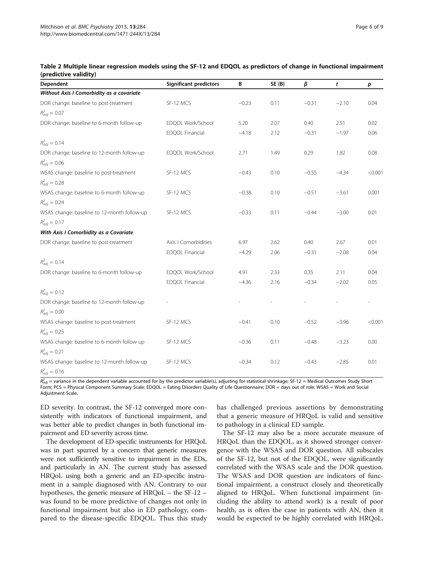| Dependent                                   | <b>Significant predictors</b> | В       | SE(B) | β       | t       | $\boldsymbol{p}$ |
|---------------------------------------------|-------------------------------|---------|-------|---------|---------|------------------|
| Without Axis I Comorbidity as a covariate   |                               |         |       |         |         |                  |
| DOR change: baseline to post-treatment      | SF-12 MCS                     | $-0.23$ | 0.11  | $-0.31$ | $-2.10$ | 0.04             |
| $R_{adj}^2 = 0.07$                          |                               |         |       |         |         |                  |
| DOR change: baseline to 6-month follow-up   | EDQOL Work/School             | 5.20    | 2.07  | 0.40    | 2.51    | 0.02             |
|                                             | <b>EDQOL Financial</b>        | $-4.18$ | 2.12  | $-0.31$ | $-1.97$ | 0.06             |
| $R_{adj}^2 = 0.14$                          |                               |         |       |         |         |                  |
| DOR change: baseline to 12-month follow-up  | EDQOL Work/School             | 2.71    | 1.49  | 0.29    | 1.82    | 0.08             |
| $R_{adj}^2 = 0.06$                          |                               |         |       |         |         |                  |
| WSAS change: baseline to post-treatment     | SF-12 MCS                     | $-0.43$ | 0.10  | $-0.55$ | $-4.34$ | < 0.001          |
| $R_{adj}^2 = 0.28$                          |                               |         |       |         |         |                  |
| WSAS change: baseline to 6-month follow-up  | SF-12 MCS                     | $-0.38$ | 0.10  | $-0.51$ | $-3.61$ | 0.001            |
| $R_{adj}^2 = 0.24$                          |                               |         |       |         |         |                  |
| WSAS change: baseline to 12-month follow-up | SF-12 MCS                     | $-0.33$ | 0.11  | $-0.44$ | $-3.00$ | 0.01             |
| $R_{adi}^2 = 0.17$                          |                               |         |       |         |         |                  |
| With Axis I Comorbidity as a Covariate      |                               |         |       |         |         |                  |
| DOR change: baseline to post-treatment      | Axis I Comorbidities          | 6.97    | 2.62  | 0.40    | 2.67    | 0.01             |
|                                             | EDQOL Financial               | $-4.29$ | 2.06  | $-0.31$ | $-2.08$ | 0.04             |
| $R_{adj}^2 = 0.14$                          |                               |         |       |         |         |                  |
| DOR change: baseline to 6-month follow-up   | EDQOL Work/School             | 4.91    | 2.33  | 0.35    | 2.11    | 0.04             |
|                                             | <b>EDQOL Financial</b>        | $-4.36$ | 2.16  | $-0.34$ | $-2.02$ | 0.05             |
| $R_{adj}^2 = 0.12$                          |                               |         |       |         |         |                  |
| DOR change: baseline to 12-month follow-up  |                               |         |       |         |         |                  |
| $R_{adj}^2 = 0.00$                          |                               |         |       |         |         |                  |
| WSAS change: baseline to post-treatment     | SF-12 MCS                     | $-0.41$ | 0.10  | $-0.52$ | $-3.96$ | < 0.001          |
| $R_{adj}^2 = 0.25$                          |                               |         |       |         |         |                  |
| WSAS change: baseline to 6-month follow-up  | SF-12 MCS                     | $-0.36$ | 0.11  | $-0.48$ | $-3.23$ | 0.00             |
| $R_{adj}^2 = 0.21$                          |                               |         |       |         |         |                  |
| WSAS change: baseline to 12-month follow-up | SF-12 MCS                     | $-0.34$ | 0.12  | $-0.43$ | $-2.85$ | 0.01             |
| $R_{adj}^2 = 0.16$                          |                               |         |       |         |         |                  |

<span id="page-5-0"></span>

| Table 2 Multiple linear regression models using the SF-12 and EDQOL as predictors of change in functional impairment |  |  |
|----------------------------------------------------------------------------------------------------------------------|--|--|
| (predictive validity)                                                                                                |  |  |

 $R_{adi}^2$  = variance in the dependent variable accounted for by the predictor variable(s), adjusting for statistical shrinkage; SF-12 = Medical Outcomes Study Short Form; PCS = Physical Component Summary Scale; EDQOL = Eating Disorders Quality of Life Questionnaire; DOR = days out of role; WSAS = Work and Social Adjustment Scale.

ED severity. In contrast, the SF-12 converged more consistently with indicators of functional impairment, and was better able to predict changes in both functional impairment and ED severity across time.

The development of ED-specific instruments for HRQoL was in part spurred by a concern that generic measures were not sufficiently sensitive to impairment in the EDs, and particularly in AN. The current study has assessed HRQoL using both a generic and an ED-specific instrument in a sample diagnosed with AN. Contrary to our hypotheses, the generic measure of HRQoL – the SF-12 – was found to be more predictive of changes not only in functional impairment but also in ED pathology, compared to the disease-specific EDQOL. Thus this study has challenged previous assertions by demonstrating that a generic measure of HRQoL is valid and sensitive to pathology in a clinical ED sample.

The SF-12 may also be a more accurate measure of HRQoL than the EDQOL, as it showed stronger convergence with the WSAS and DOR question. All subscales of the SF-12, but not of the EDQOL, were significantly correlated with the WSAS scale and the DOR question. The WSAS and DOR question are indicators of functional impairment, a construct closely and theoretically aligned to HRQoL. When functional impairment (including the ability to attend work) is a result of poor health, as is often the case in patients with AN, then it would be expected to be highly correlated with HRQoL.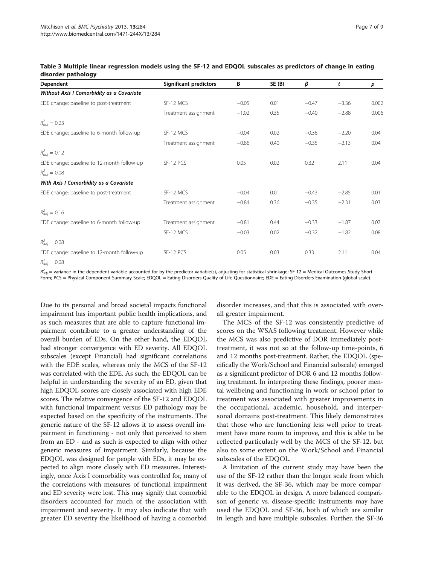| Dependent                                  | <b>Significant predictors</b> | В       | SE(B) | β       | t       | p     |
|--------------------------------------------|-------------------------------|---------|-------|---------|---------|-------|
| Without Axis I Comorbidity as a Covariate  |                               |         |       |         |         |       |
| EDE change: baseline to post-treatment     | SF-12 MCS                     | $-0.05$ | 0.01  | $-0.47$ | $-3.36$ | 0.002 |
|                                            | Treatment assignment          | $-1.02$ | 0.35  | $-0.40$ | $-2.88$ | 0.006 |
| $R_{adj}^2 = 0.23$                         |                               |         |       |         |         |       |
| EDE change: baseline to 6-month follow-up  | SF-12 MCS                     | $-0.04$ | 0.02  | $-0.36$ | $-2.20$ | 0.04  |
|                                            | Treatment assignment          | $-0.86$ | 0.40  | $-0.35$ | $-2.13$ | 0.04  |
| $R_{adj}^2 = 0.12$                         |                               |         |       |         |         |       |
| EDE change: baseline to 12-month follow-up | SF-12 PCS                     | 0.05    | 0.02  | 0.32    | 2.11    | 0.04  |
| $R_{adj}^2 = 0.08$                         |                               |         |       |         |         |       |
| With Axis I Comorbidity as a Covariate     |                               |         |       |         |         |       |
| EDE change: baseline to post-treatment     | SF-12 MCS                     | $-0.04$ | 0.01  | $-0.43$ | $-2.85$ | 0.01  |
|                                            | Treatment assignment          | $-0.84$ | 0.36  | $-0.35$ | $-2.31$ | 0.03  |
| $R_{adj}^2 = 0.16$                         |                               |         |       |         |         |       |
| EDE change: baseline to 6-month follow-up  | Treatment assignment          | $-0.81$ | 0.44  | $-0.33$ | $-1.87$ | 0.07  |
|                                            | SF-12 MCS                     | $-0.03$ | 0.02  | $-0.32$ | $-1.82$ | 0.08  |
| $R_{adj}^2 = 0.08$                         |                               |         |       |         |         |       |
| EDE change: baseline to 12-month follow-up | SF-12 PCS                     | 0.05    | 0.03  | 0.33    | 2.11    | 0.04  |
| $R_{adj}^2 = 0.08$                         |                               |         |       |         |         |       |

## <span id="page-6-0"></span>Table 3 Multiple linear regression models using the SF-12 and EDQOL subscales as predictors of change in eating disorder pathology

 $R^2_{adj}$  = variance in the dependent variable accounted for by the predictor variable(s), adjusting for statistical shrinkage; SF-12 = Medical Outcomes Study Short Form; PCS = Physical Component Summary Scale; EDQOL = Eating Disorders Quality of Life Questionnaire; EDE = Eating Disorders Examination (global scale).

Due to its personal and broad societal impacts functional impairment has important public health implications, and as such measures that are able to capture functional impairment contribute to a greater understanding of the overall burden of EDs. On the other hand, the EDQOL had stronger convergence with ED severity. All EDQOL subscales (except Financial) had significant correlations with the EDE scales, whereas only the MCS of the SF-12 was correlated with the EDE. As such, the EDQOL can be helpful in understanding the severity of an ED, given that high EDQOL scores are closely associated with high EDE scores. The relative convergence of the SF-12 and EDQOL with functional impairment versus ED pathology may be expected based on the specificity of the instruments. The generic nature of the SF-12 allows it to assess overall impairment in functioning - not only that perceived to stem from an ED - and as such is expected to align with other generic measures of impairment. Similarly, because the EDQOL was designed for people with EDs, it may be expected to align more closely with ED measures. Interestingly, once Axis I comorbidity was controlled for, many of the correlations with measures of functional impairment and ED severity were lost. This may signify that comorbid disorders accounted for much of the association with impairment and severity. It may also indicate that with greater ED severity the likelihood of having a comorbid disorder increases, and that this is associated with overall greater impairment.

The MCS of the SF-12 was consistently predictive of scores on the WSAS following treatment. However while the MCS was also predictive of DOR immediately posttreatment, it was not so at the follow-up time-points, 6 and 12 months post-treatment. Rather, the EDQOL (specifically the Work/School and Financial subscale) emerged as a significant predictor of DOR 6 and 12 months following treatment. In interpreting these findings, poorer mental wellbeing and functioning in work or school prior to treatment was associated with greater improvements in the occupational, academic, household, and interpersonal domains post-treatment. This likely demonstrates that those who are functioning less well prior to treatment have more room to improve, and this is able to be reflected particularly well by the MCS of the SF-12, but also to some extent on the Work/School and Financial subscales of the EDQOL.

A limitation of the current study may have been the use of the SF-12 rather than the longer scale from which it was derived, the SF-36, which may be more comparable to the EDQOL in design. A more balanced comparison of generic vs. disease-specific instruments may have used the EDQOL and SF-36, both of which are similar in length and have multiple subscales. Further, the SF-36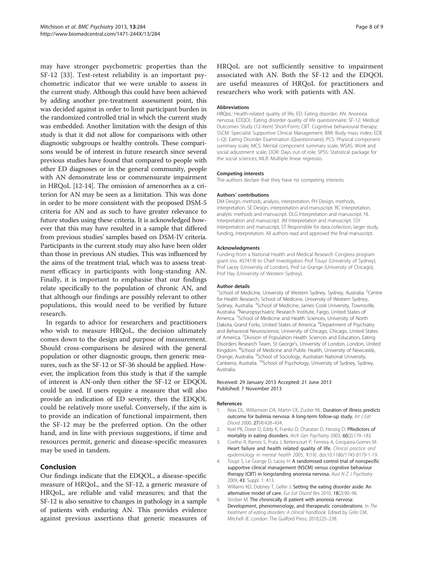<span id="page-7-0"></span>may have stronger psychometric properties than the SF-12 [\[33](#page-8-0)]. Test-retest reliability is an important psychometric indicator that we were unable to assess in the current study. Although this could have been achieved by adding another pre-treatment assessment point, this was decided against in order to limit participant burden in the randomized controlled trial in which the current study was embedded. Another limitation with the design of this study is that it did not allow for comparisons with other diagnostic subgroups or healthy controls. These comparisons would be of interest in future research since several previous studies have found that compared to people with other ED diagnoses or in the general community, people with AN demonstrate less or commensurate impairment in HRQoL [[12](#page-8-0)-[14](#page-8-0)]. The omission of amenorrhea as a criterion for AN may be seen as a limitation. This was done in order to be more consistent with the proposed DSM-5 criteria for AN and as such to have greater relevance to future studies using these criteria. It is acknowledged however that this may have resulted in a sample that differed from previous studies' samples based on DSM-IV criteria. Participants in the current study may also have been older than those in previous AN studies. This was influenced by the aims of the treatment trial, which was to assess treatment efficacy in participants with long-standing AN. Finally, it is important to emphasise that our findings relate specifically to the population of chronic AN, and that although our findings are possibly relevant to other populations, this would need to be verified by future research.

In regards to advice for researchers and practitioners who wish to measure HRQoL, the decision ultimately comes down to the design and purpose of measurement. Should cross-comparisons be desired with the general population or other diagnostic groups, then generic measures, such as the SF-12 or SF-36 should be applied. However, the implication from this study is that if the sample of interest is AN-only then either the SF-12 or EDQOL could be used. If users require a measure that will also provide an indication of ED severity, then the EDQOL could be relatively more useful. Conversely, if the aim is to provide an indication of functional impairment, then the SF-12 may be the preferred option. On the other hand, and in line with previous suggestions, if time and resources permit, generic and disease-specific measures may be used in tandem.

# Conclusion

Our findings indicate that the EDQOL, a disease-specific measure of HRQoL, and the SF-12, a generic measure of HRQoL, are reliable and valid measures; and that the SF-12 is also sensitive to changes in pathology in a sample of patients with enduring AN. This provides evidence against previous assertions that generic measures of

HRQoL are not sufficiently sensitive to impairment associated with AN. Both the SF-12 and the EDQOL are useful measures of HRQoL for practitioners and researchers who work with patients with AN.

#### Abbreviations

HRQoL: Health-related quality of life; ED: Eating disorder; AN: Anorexia nervosa; EDQOL: Eating disorder quality of life questionnaire; SF-12: Medical Outcomes Study (12-item) Short-Form; CBT: Cognitive behavioural therapy; SSCM: Specialist Supportive Clinical Management; BMI: Body mass index; EDE (−Q): Eating Disorder Examination (Questionnaire); PCS: Physical component summary scale; MCS: Mental component summary scale; WSAS: Work and social adjustment scale; DOR: Days out of role; SPSS: Statistical package for the social sciences; MLR: Multiple linear regressio.

#### Competing interests

The authors declare that they have no competing interests.

#### Authors' contributions

DM Design, methods, analysis, interpretation. PH Design, methods, interpretation. SE Design, interpretation and manuscript. RC Interpretation, analytic methods and manuscript. DLG Interpretation and manuscript. HL Interpretation and manuscript. JM Interpretation and manuscript. SSY Interpretation and manuscript, ST Responsible for data collection, larger study, funding, interpretation. All authors read and approved the final manuscript.

#### Acknowledgments

Funding from a National Health and Medical Research Congress program grant (no. 457419) to Chief Investigators Prof Touyz (University of Sydney), Prof Lacey (University of London), Prof Le Grange (University of Chicago), Prof Hay (University of Western Sydney).

#### Author details

<sup>1</sup>School of Medicine, University of Western Sydney, Sydney, Australia. <sup>2</sup>Centre for Health Research, School of Medicine, University of Western Sydney, Sydney, Australia. <sup>3</sup>School of Medicine, James Cook University, Townsville Australia. <sup>4</sup>Neuropsychiatric Research Institute, Fargo, United States of America. <sup>5</sup>School of Medicine and Health Sciences, University of North Dakota, Grand Forks, United States of America. <sup>6</sup>Department of Psychiatry and Behavioral Neuroscience, University of Chicago, Chicago, United States of America. <sup>7</sup> Division of Population Health Sciences and Education, Eating Disorders Research Team, St George's, University of London, London, United Kingdom. <sup>8</sup>School of Medicine and Public Health, University of Newcastle Orange, Australia. <sup>9</sup>School of Sociology, Australian National University Canberra, Australia. <sup>10</sup>School of Psychology, University of Sydney, Sydney, Australia.

#### Received: 29 January 2013 Accepted: 21 June 2013 Published: 7 November 2013

#### References

- 1. Reas DL, Williamson DA, Martin CK, Zucker NL: Duration of illness predicts outcome for bulimia nervosa: A long-term follow-up study. Int J Eat Disord 2000, 27(4):428–434.
- 2. Keel PK, Dorer D, Eddy K, Franko D, Charatan D, Herzog D: PRedictors of mortality in eating disorders. Arch Gen Psychiatry 2003, 60(2):179–183.
- 3. Coelho R, Ramos S, Prata J, Bettencourt P, Ferreira A, Cerqueira-Gomes M: Heart failure and health related quality of life. Clinical practice and epidemiology in mental health 2005, 1(19). doi:10.1186/1745-0179-1-19.
- 4. Touyz S, Le Grange D, Lacey H: A randomised control trial of nonspecific supportive clinical management (NSCM) versus cognitive behaviour therapy (CBT) in longstanding anorexia nervosa. Aust  $N Z J$  Psychiatry 2009, 43. Suppl. 1: A13.
- Williams KD, Dobney T, Geller J: Setting the eating disorder aside: An alternative model of care. Eur Eat Disord Rev 2010, 18(2):90–96.
- 6. Strober M: The chronically ill patient with anorexia nervosa: Development, phenomenology, and therapeutic considerations. In The treatment of eating disorders: A clinical handbook. Edited by Grilo CM, Mitchell JE. London: The Guilford Press; 2010:225–238.